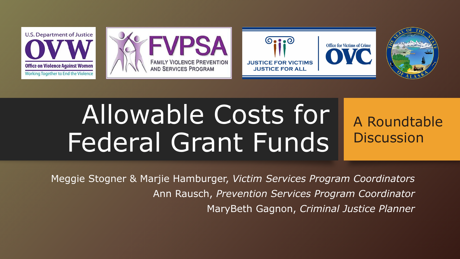

# Allowable Costs for Federal Grant Funds

A Roundtable **Discussion** 

Meggie Stogner & Marjie Hamburger, *Victim Services Program Coordinators* Ann Rausch, *Prevention Services Program Coordinator* MaryBeth Gagnon, *Criminal Justice Planner*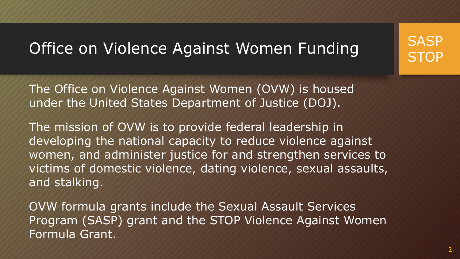### Office on Violence Against Women Funding

The Office on Violence Against Women (OVW) is housed under the United States Department of Justice (DOJ).

The mission of OVW is to provide federal leadership in developing the national capacity to reduce violence against women, and administer justice for and strengthen services to victims of domestic violence, dating violence, sexual assaults, and stalking.

OVW formula grants include the Sexual Assault Services Program (SASP) grant and the STOP Violence Against Women Formula Grant.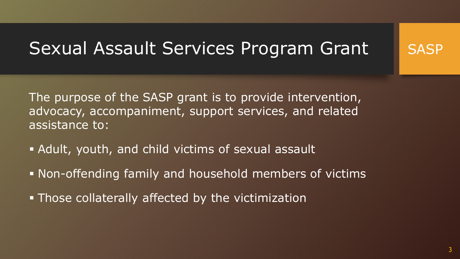# Sexual Assault Services Program Grant 15ASP

The purpose of the SASP grant is to provide intervention, advocacy, accompaniment, support services, and related assistance to:

- Adult, youth, and child victims of sexual assault
- Non-offending family and household members of victims
- **Those collaterally affected by the victimization**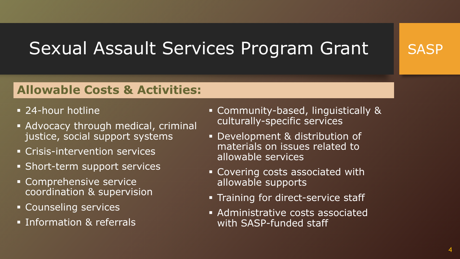# Sexual Assault Services Program Grant



- 24-hour hotline
- Advocacy through medical, criminal justice, social support systems
- **Crisis-intervention services**
- **Short-term support services**
- Comprehensive service coordination & supervision
- **Counseling services**
- **Information & referrals**
- Community-based, linguistically & culturally-specific services
- Development & distribution of materials on issues related to allowable services
- Covering costs associated with allowable supports
- **Training for direct-service staff**
- Administrative costs associated with SASP-funded staff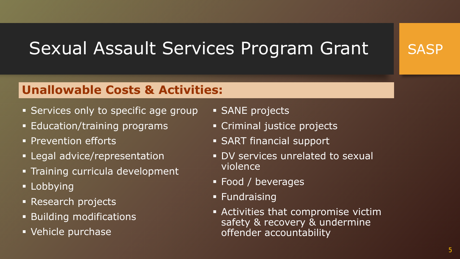# Sexual Assault Services Program Grant



- **Services only to specific age group**
- **Education/training programs**
- **Prevention efforts**
- **-** Legal advice/representation
- **Training curricula development**
- Lobbying
- **Research projects**
- Building modifications
- Vehicle purchase
- **SANE** projects
- Criminal justice projects
- SART financial support
- DV services unrelated to sexual violence
- Food / beverages
- **Fundraising**
- Activities that compromise victim safety & recovery & undermine offender accountability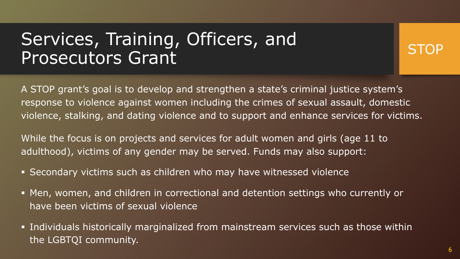# Services, Training, Officers, and Prosecutors Grant

**STOP** 

A STOP grant's goal is to develop and strengthen a state's criminal justice system's response to violence against women including the crimes of sexual assault, domestic violence, stalking, and dating violence and to support and enhance services for victims.

While the focus is on projects and services for adult women and girls (age 11 to adulthood), victims of any gender may be served. Funds may also support:

- Secondary victims such as children who may have witnessed violence
- Men, women, and children in correctional and detention settings who currently or have been victims of sexual violence
- Individuals historically marginalized from mainstream services such as those within the LGBTQI community.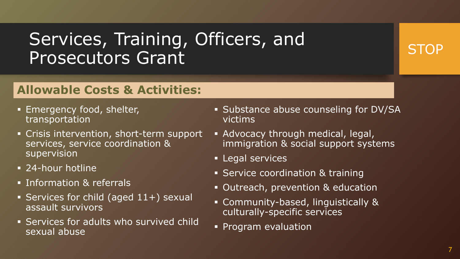# Services, Training, Officers, and Prosecutors Grant

### **STOP**

- **Emergency food, shelter,** transportation
- Crisis intervention, short-term support services, service coordination & supervision
- 24-hour hotline
- **Information & referrals**
- Services for child (aged  $11+$ ) sexual assault survivors
- Services for adults who survived child sexual abuse
- **Substance abuse counseling for DV/SA** victims
- Advocacy through medical, legal, immigration & social support systems
- **Legal services**
- **Service coordination & training**
- **Outreach, prevention & education**
- Community-based, linguistically & culturally-specific services
- **Program evaluation**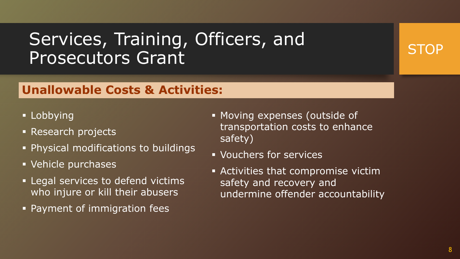# Services, Training, Officers, and Prosecutors Grant

### **Unallowable Costs & Activities:**

- **Lobbying**
- **Research projects**
- Physical modifications to buildings
- Vehicle purchases
- **Example 2 Figure 1 Figure 1 Figure 1 Figure 1 Figure 1 Figure 1 Figure 1 Figure 1 Figure 1 Figure 1 Figure 1 Figure 1 Figure 1 Figure 1 Figure 1 Figure 1 Figure 1 Figure 1 Figure 1 Figure 1 Figure 1 Figure 1 Figure 1 Figu** who injure or kill their abusers
- Payment of immigration fees
- **Moving expenses (outside of** transportation costs to enhance safety)
- Vouchers for services
- Activities that compromise victim safety and recovery and undermine offender accountability

### STOP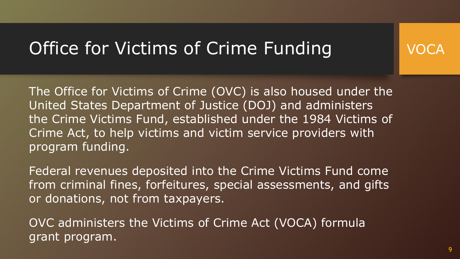# Office for Victims of Crime Funding

The Office for Victims of Crime (OVC) is also housed under the United States Department of Justice (DOJ) and administers the Crime Victims Fund, established under the 1984 Victims of Crime Act, to help victims and victim service providers with program funding.

Federal revenues deposited into the Crime Victims Fund come from criminal fines, forfeitures, special assessments, and gifts or donations, not from taxpayers.

OVC administers the Victims of Crime Act (VOCA) formula grant program.

VOC.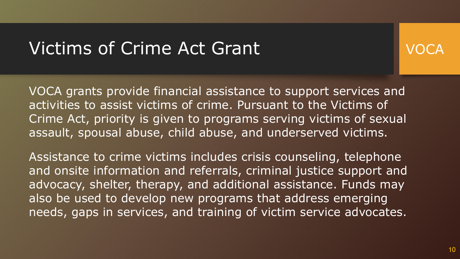### Victims of Crime Act Grant



VOCA grants provide financial assistance to support services and activities to assist victims of crime. Pursuant to the Victims of Crime Act, priority is given to programs serving victims of sexual assault, spousal abuse, child abuse, and underserved victims.

Assistance to crime victims includes crisis counseling, telephone and onsite information and referrals, criminal justice support and advocacy, shelter, therapy, and additional assistance. Funds may also be used to develop new programs that address emerging needs, gaps in services, and training of victim service advocates.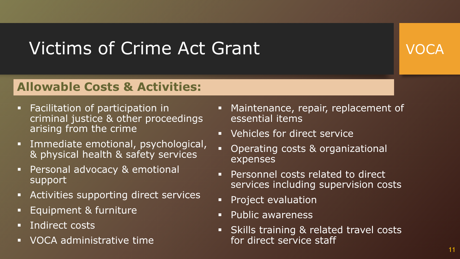# Victims of Crime Act Grant

VOCA

- **Facilitation of participation in** criminal justice & other proceedings arising from the crime
- Immediate emotional, psychological, & physical health & safety services
- Personal advocacy & emotional support
- Activities supporting direct services
- Equipment & furniture
- Indirect costs
- **VOCA administrative time**
- Maintenance, repair, replacement of essential items
- **•** Vehicles for direct service
- Operating costs & organizational expenses
- Personnel costs related to direct services including supervision costs
- **Project evaluation**
- **Public awareness**
- **Skills training & related travel costs** for direct service staff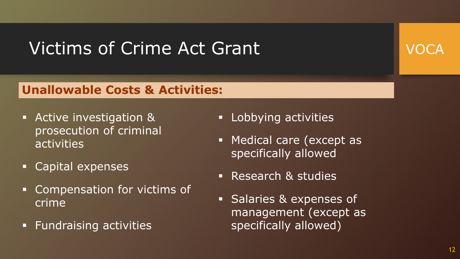# Victims of Crime Act Grant



- Active investigation & prosecution of criminal activities
- Capital expenses
- **EX Compensation for victims of** crime
- **Fundraising activities**
- **-** Lobbying activities
- **Medical care (except as** specifically allowed
- Research & studies
- **Salaries & expenses of** management (except as specifically allowed)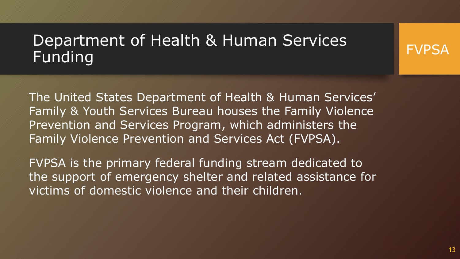### Department of Health & Human Services Funding

The United States Department of Health & Human Services' Family & Youth Services Bureau houses the Family Violence Prevention and Services Program, which administers the Family Violence Prevention and Services Act (FVPSA).

FVPSA is the primary federal funding stream dedicated to the support of emergency shelter and related assistance for victims of domestic violence and their children.

FVPSA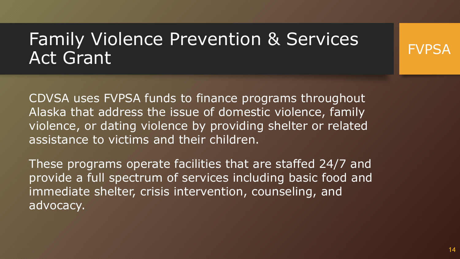# Family Violence Prevention & Services Act Grant

CDVSA uses FVPSA funds to finance programs throughout Alaska that address the issue of domestic violence, family violence, or dating violence by providing shelter or related assistance to victims and their children.

These programs operate facilities that are staffed 24/7 and provide a full spectrum of services including basic food and immediate shelter, crisis intervention, counseling, and advocacy.

FVPSA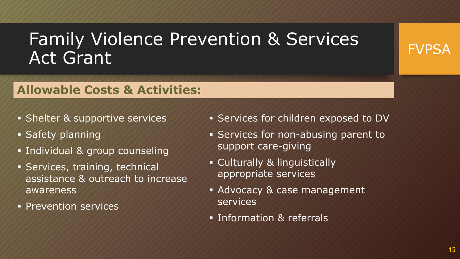# Family Violence Prevention & Services Act Grant



- **Shelter & supportive services**
- **Safety planning**
- **Individual & group counseling**
- **Services, training, technical** assistance & outreach to increase awareness
- **Prevention services**
- Services for children exposed to DV
- Services for non-abusing parent to support care-giving
- Culturally & linguistically appropriate services
- **Advocacy & case management** services
- **Information & referrals**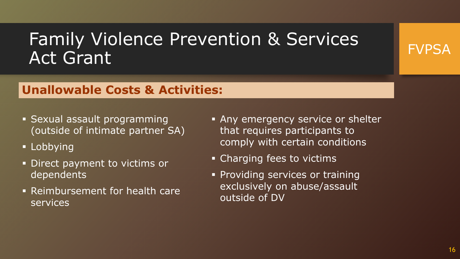# Family Violence Prevention & Services Act Grant

### **Unallowable Costs & Activities:**

- Sexual assault programming (outside of intimate partner SA)
- **Lobbying**
- **Direct payment to victims or** dependents
- Reimbursement for health care services
- **Any emergency service or shelter** that requires participants to comply with certain conditions
- Charging fees to victims
- **Providing services or training** exclusively on abuse/assault outside of DV

FVPSA